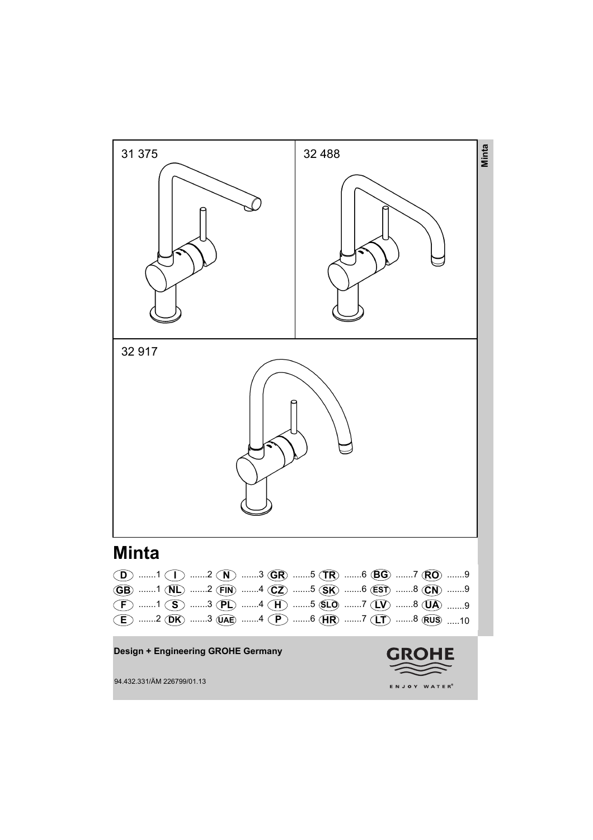

ENJOY WATER®

94.432.331/ÄM 226799/01.13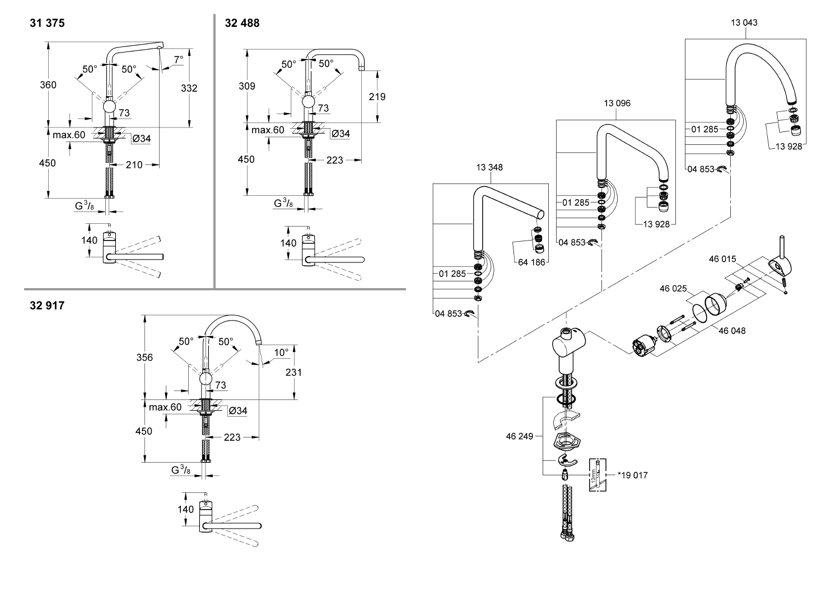







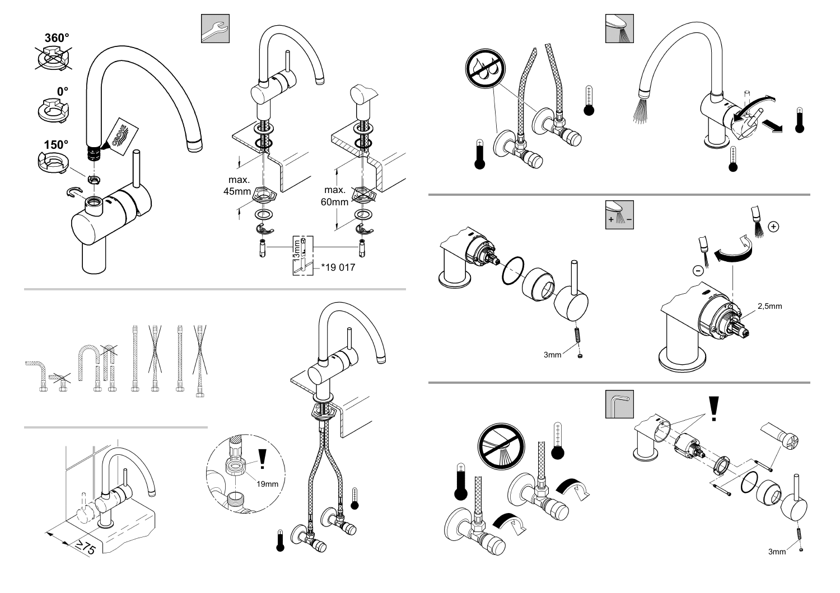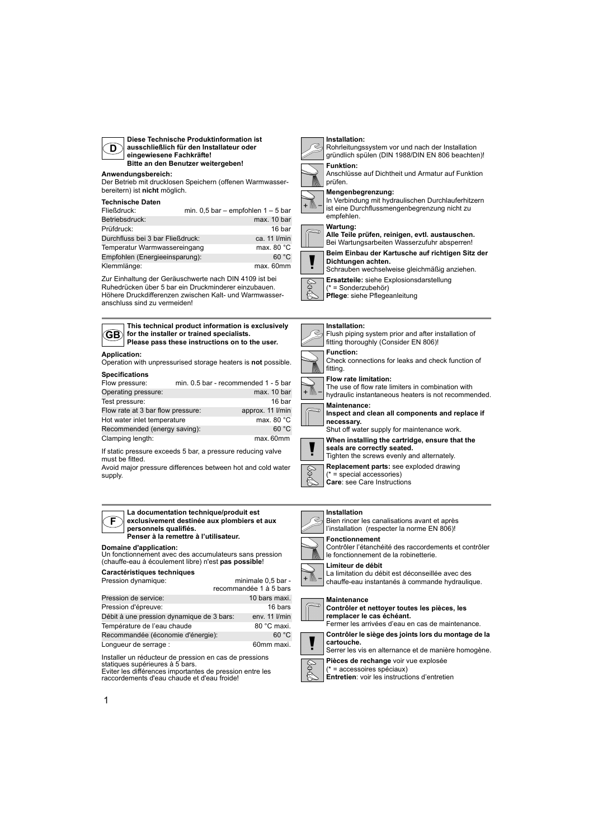

**Diese Technische Produktinformation ist ausschließlich für den Installateur oder eingewiesene Fachkräfte! Bitte an den Benutzer weitergeben!**

#### **Anwendungsbereich:**

Der Betrieb mit drucklosen Speichern (offenen Warmwasserbereitern) ist **nicht** möglich.

#### **Technische Daten**

| Fließdruck:                      | min. $0,5$ bar - empfohlen $1-5$ bar |
|----------------------------------|--------------------------------------|
| Betriebsdruck:                   | max. 10 bar                          |
| Prüfdruck:                       | 16 bar                               |
| Durchfluss bei 3 bar Fließdruck: | ca. 11 l/min                         |
| Temperatur Warmwassereingang     | max. 80 $^{\circ}$ C                 |
| Empfohlen (Energieeinsparung):   | 60 °C                                |
| Klemmlänge:                      | max. 60mm                            |

Zur Einhaltung der Geräuschwerte nach DIN 4109 ist bei Ruhedrücken über 5 bar ein Druckminderer einzubauen. Höhere Druckdifferenzen zwischen Kalt- und Warmwasseranschluss sind zu vermeiden!



Operation with unpressurised storage heaters is **not** possible. **Specifications**

| Flow pressure:                    | min. 0.5 bar - recommended 1 - 5 bar |                      |
|-----------------------------------|--------------------------------------|----------------------|
| Operating pressure:               |                                      | max. 10 bar          |
| Test pressure:                    |                                      | 16 bar               |
| Flow rate at 3 bar flow pressure: |                                      | approx. 11 I/min     |
| Hot water inlet temperature       |                                      | max. 80 $^{\circ}$ C |
| Recommended (energy saving):      |                                      | 60 °C                |
| Clamping length:                  |                                      | max.60mm             |

If static pressure exceeds 5 bar, a pressure reducing valve must be fitted.

Avoid major pressure differences between hot and cold water supply.

#### **F La documentation technique/produit est exclusivement destinée aux plombiers et aux personnels qualifiés.**

#### **Penser à la remettre à l'utilisateur.**

**Domaine d'application:**

Un fonctionnement avec des accumulateurs sans pression (chauffe-eau à écoulement libre) n'est **pas possible**!

#### **Caractéristiques techniques**

| Pression dynamique:                       | minimale 0,5 bar -<br>recommandée 1 à 5 bars |
|-------------------------------------------|----------------------------------------------|
|                                           |                                              |
| Pression de service:                      | 10 bars maxi.                                |
| Pression d'épreuve:                       | 16 bars                                      |
| Débit à une pression dynamique de 3 bars: | env. 11 l/min                                |
| Température de l'eau chaude               | 80 °C maxi.                                  |
| Recommandée (économie d'énergie):         | 60 °C                                        |
| Lonqueur de serrage :                     | 60mm maxi.                                   |

Installer un réducteur de pression en cas de pressions statiques supérieures à 5 bars. Eviter les différences importantes de pression entre les raccordements d'eau chaude et d'eau froide!

#### **Installation:**

Rohrleitungssystem vor und nach der Installation gründlich spülen (DIN 1988/DIN EN 806 beachten)! **Funktion:**



prüfen. **Mengenbegrenzung:**

In Verbindung mit hydraulischen Durchlauferhitzern ist eine Durchflussmengenbegrenzung nicht zu empfehlen.

Anschlüsse auf Dichtheit und Armatur auf Funktion

#### **Wartung:**





**Beim Einbau der Kartusche auf richtigen Sitz der Dichtungen achten.** Schrauben wechselweise gleichmäßig anziehen.

- **Ersatzteile:** siehe Explosionsdarstellung
- 
- (\* = Sonderzubehör)
- **Pflege**: siehe Pflegeanleitung

### **Installation:**





**Replacement parts:** see exploded drawing (\* = special accessories) **Care**: see Care Instructions

#### **Installation**



l'installation (respecter la norme EN 806)! **Fonctionnement** Contrôler l'étanchéité des raccordements et contrôler

le fonctionnement de la robinetterie.

## **Limiteur de débit**



chauffe-eau instantanés à commande hydraulique.

#### **Maintenance Contrôler et nettoyer toutes les pièces, les**



**Contrôler le siège des joints lors du montage de la cartouche.**

Serrer les vis en alternance et de manière homogène. **Pièces de rechange** voir vue explosée



(\* = accessoires spéciaux) **Entretien**: voir les instructions d'entretien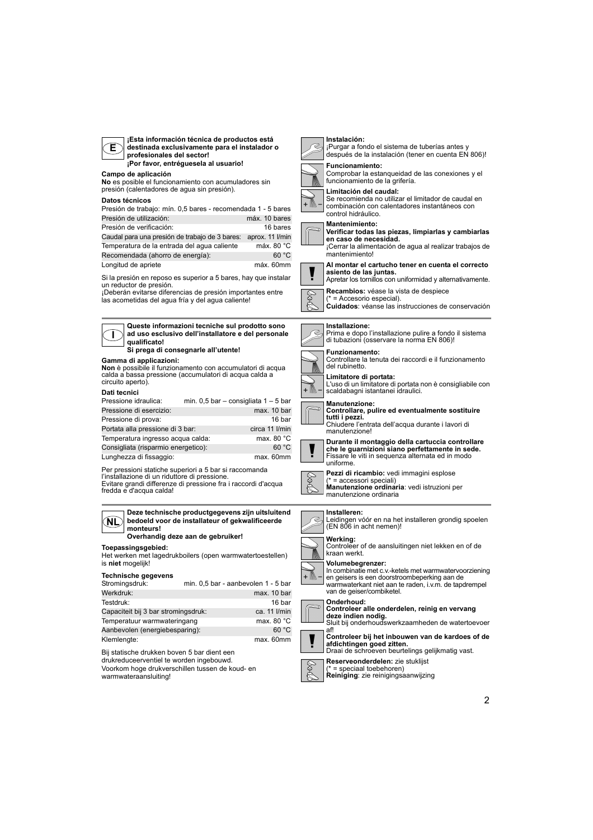| ¡Esta información técnica de productos está<br>destinada exclusivamente para el instalador o<br>Е.<br>profesionales del sector!                                                                     | Instalación:<br>¡Purgar a fondo el sistema de tuberías antes y<br>después de la instalación (tener en cuenta EN 806)!                                                                                  |
|-----------------------------------------------------------------------------------------------------------------------------------------------------------------------------------------------------|--------------------------------------------------------------------------------------------------------------------------------------------------------------------------------------------------------|
| ¡Por favor, entréguesela al usuario!<br>Campo de aplicación<br>No es posible el funcionamiento con acumuladores sin                                                                                 | Funcionamiento:<br>Comprobar la estanqueidad de las conexiones y el<br>funcionamiento de la grifería.                                                                                                  |
| presión (calentadores de aqua sin presión).<br><b>Datos técnicos</b><br>Presión de trabajo: mín. 0,5 bares - recomendada 1 - 5 bares                                                                | Limitación del caudal:<br>Se recomienda no utilizar el limitador de caudal en<br>combinación con calentadores instantáneos con<br>control hidráulico.                                                  |
| Presión de utilización:<br>máx. 10 bares<br>Presión de verificación:<br>16 bares<br>Caudal para una presión de trabajo de 3 bares:<br>aprox. 11 I/min                                               | <b>Mantenimiento:</b><br>Verificar todas las piezas, limpiarlas y cambiarlas<br>en caso de necesidad.                                                                                                  |
| Temperatura de la entrada del agua caliente<br>máx. 80 °C<br>Recomendada (ahorro de energía):<br>60 °C<br>Longitud de apriete<br>máx. 60mm                                                          | ¡Cerrar la alimentación de agua al realizar trabajos de<br>mantenimiento!<br>Al montar el cartucho tener en cuenta el correcto                                                                         |
| Si la presión en reposo es superior a 5 bares, hay que instalar<br>un reductor de presión.                                                                                                          | asiento de las juntas.<br>Apretar los tornillos con uniformidad y alternativamente.<br>Recambios: véase la vista de despiece                                                                           |
| ¡Deberán evitarse diferencias de presión importantes entre<br>las acometidas del agua fría y del agua caliente!                                                                                     | $(* = Accessorio$ especial).<br>Cuidados: véanse las instrucciones de conservación                                                                                                                     |
| Queste informazioni tecniche sul prodotto sono<br>ad uso esclusivo dell'installatore e del personale<br>qualificato!<br>Si prega di consegnarle all'utente!                                         | Installazione:<br>Prima e dopo l'installazione pulire a fondo il sistema<br>di tubazioni (osservare la norma EN 806)!                                                                                  |
| Gamma di applicazioni:<br>Non è possibile il funzionamento con accumulatori di acqua<br>calda a bassa pressione (accumulatori di acqua calda a                                                      | <b>Funzionamento:</b><br>Controllare la tenuta dei raccordi e il funzionamento<br>del rubinetto.                                                                                                       |
| circuito aperto).<br>Dati tecnici                                                                                                                                                                   | Limitatore di portata:<br>L'uso di un limitatore di portata non è consigliabile con<br>+ ///<br>scaldabagni istantanei idraulici.                                                                      |
| Pressione idraulica:<br>min. $0,5$ bar – consigliata $1-5$ bar<br>Pressione di esercizio:<br>max. 10 bar<br>16 bar                                                                                  | <b>Manutenzione:</b><br>Controllare, pulire ed eventualmente sostituire<br>tutti i pezzi.                                                                                                              |
| Pressione di prova:<br>Portata alla pressione di 3 bar:<br>circa 11 I/min<br>Temperatura ingresso acqua calda:<br>max. 80 $^{\circ}$ C                                                              | Chiudere l'entrata dell'acqua durante i lavori di<br>manutenzione!<br>Durante il montaggio della cartuccia controllare                                                                                 |
| 60 °C<br>Consigliata (risparmio energetico):<br>Lunghezza di fissaggio:<br>max. 60mm                                                                                                                | che le guarnizioni siano perfettamente in sede.<br>Fissare le viti in sequenza alternata ed in modo<br>uniforme.                                                                                       |
| Per pressioni statiche superiori a 5 bar si raccomanda<br>l'installazione di un riduttore di pressione.<br>Evitare grandi differenze di pressione fra i raccordi d'acqua<br>fredda e d'acqua calda! | Pezzi di ricambio: vedi immagini esplose<br>$(* = \text{accessori special})$<br>Manutenzione ordinaria: vedi istruzioni per<br>manutenzione ordinaria                                                  |
| Deze technische productgegevens zijn uitsluitend<br>bedoeld voor de installateur of gekwalificeerde<br>NL)<br>monteurs!                                                                             | Installeren:<br>Leidingen vóór en na het installeren grondig spoelen<br>(EN 806 in acht nemen)!                                                                                                        |
| Overhandig deze aan de gebruiker!<br>Toepassingsgebied:<br>Het werken met lagedrukboilers (open warmwatertoestellen)<br>is niet mogelijk!                                                           | Werking:<br>Controleer of de aansluitingen niet lekken en of de<br>kraan werkt.<br>Volumebegrenzer:                                                                                                    |
| Technische gegevens<br>Stromingsdruk:<br>min. 0,5 bar - aanbevolen 1 - 5 bar<br>Werkdruk:<br>max. 10 bar                                                                                            | In combinatie met c.v.-ketels met warmwatervoorziening<br>+ ∭\ –<br>en geisers is een doorstroombeperking aan de<br>warmwaterkant niet aan te raden. i.v.m. de tapdrempel<br>van de geiser/combiketel. |
| Testdruk:<br>16 bar<br>Capaciteit bij 3 bar stromingsdruk:<br>ca. 11 I/min<br>Temperatuur warmwateringang<br>max. 80 $^{\circ}$ C                                                                   | Onderhoud:<br>Controleer alle onderdelen, reinig en vervang<br>deze indien nodig.<br>Sluit bij onderhoudswerkzaamheden de watertoevoer                                                                 |
| Aanbevolen (energiebesparing):<br>60 °C<br>Klemlengte:<br>max. 60mm                                                                                                                                 | af!<br>Controleer bij het inbouwen van de kardoes of de<br>afdichtingen goed zitten.                                                                                                                   |
| Bij statische drukken boven 5 bar dient een<br>drukreduceerventiel te worden ingebouwd.<br>Voorkom hoge drukverschillen tussen de koud- en<br>warmwateraansluiting!                                 | Draai de schroeven beurtelings gelijkmatig vast.<br>Reserveonderdelen: zie stuklijst<br>$(*)$ = speciaal toebehoren)<br>Reiniging: zie reinigingsaanwijzing                                            |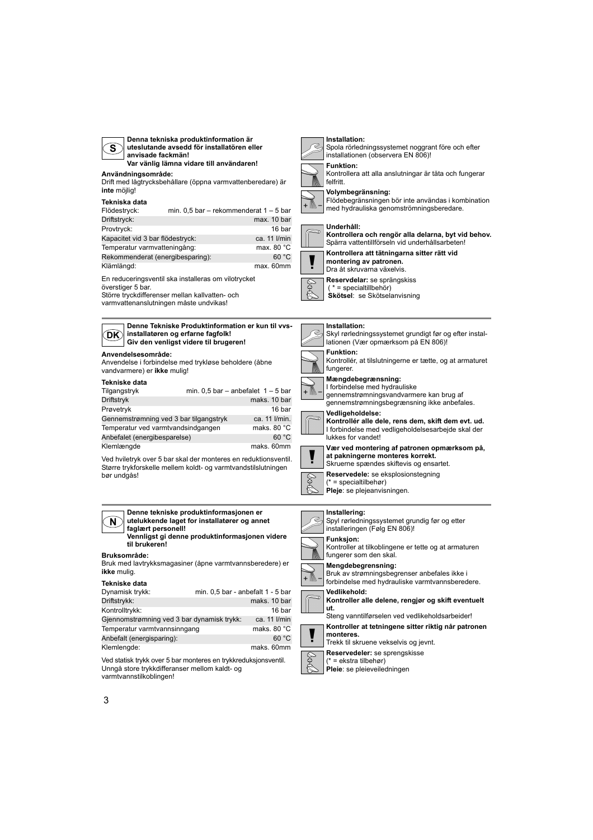| Denna tekniska produktinformation är                                                                                                                                 | Installation:                                                                                                       |
|----------------------------------------------------------------------------------------------------------------------------------------------------------------------|---------------------------------------------------------------------------------------------------------------------|
| $\mathbf{s}$<br>uteslutande avsedd för installatören eller<br>anvisade fackmän!                                                                                      | Spola rörledningssystemet noggrant före och efter<br>installationen (observera EN 806)!                             |
| Var vänlig lämna vidare till användaren!<br>Användningsområde:<br>Drift med lågtrycksbehållare (öppna varmvattenberedare) är                                         | <b>Funktion:</b><br>Kontrollera att alla anslutningar är täta och fungerar<br>felfritt.                             |
| inte möjlig!<br>Tekniska data<br>min. $0.5$ bar – rekommenderat $1 - 5$ bar<br>Flödestryck:                                                                          | Volymbegränsning:<br>Flödebegränsningen bör inte användas i kombination<br>med hydrauliska genomströmningsberedare. |
| Driftstryck:<br>max. 10 bar                                                                                                                                          |                                                                                                                     |
|                                                                                                                                                                      | Underhåll:                                                                                                          |
| Provtryck:<br>16 bar                                                                                                                                                 | Kontrollera och rengör alla delarna, byt vid behov.                                                                 |
| Kapacitet vid 3 bar flödestryck:<br>ca. 11 I/min                                                                                                                     | Spärra vattentillförseln vid underhållsarbeten!                                                                     |
| max. 80 °C<br>Temperatur varmvatteningång:                                                                                                                           | Kontrollera att tätningarna sitter rätt vid                                                                         |
| Rekommenderat (energibesparing):<br>60 °C                                                                                                                            | montering av patronen.                                                                                              |
| Klämlängd:<br>max. 60mm                                                                                                                                              | Dra åt skruvarna växelvis.                                                                                          |
| En reduceringsventil ska installeras om vilotrycket<br>överstiger 5 bar.<br>Större tryckdifferenser mellan kallvatten- och<br>varmvattenanslutningen måste undvikas! | Reservdelar: se sprängskiss<br>$(* = specialtilbeh)$<br>Skötsel: se Skötselanvisning                                |
|                                                                                                                                                                      |                                                                                                                     |
| Denne Tekniske Produktinformation er kun til vvs-<br>installatøren og erfarne fagfolk!<br>DK)<br>Giv den venligst videre til brugeren!                               | Installation:<br>Skyl rørledningssystemet grundigt før og efter instal-<br>lationen (Vær opmærksom på EN 806)!      |
| Anvendelsesområde:<br>Anvendelse i forbindelse med trykløse beholdere (åbne<br>vandvarmere) er ikke mulig!                                                           | <b>Funktion:</b><br>Kontrollér, at tilslutningerne er tætte, og at armaturet<br>fungerer.                           |
|                                                                                                                                                                      | Mængdebegrænsning:                                                                                                  |
| Tekniske data                                                                                                                                                        | I forbindelse med hydrauliske                                                                                       |
| min. $0,5$ bar - anbefalet $1-5$ bar<br>Tilgangstryk<br>Driftstryk<br>maks. 10 bar                                                                                   | gennemstrømningsvandvarmere kan brug af                                                                             |
| Prøvetryk<br>16 bar                                                                                                                                                  | gennemstrømningsbegrænsning ikke anbefales.                                                                         |
| Gennemstrømning ved 3 bar tilgangstryk<br>ca. 11 I/min.                                                                                                              | Vedligeholdelse:                                                                                                    |
| Temperatur ved varmtvandsindgangen<br>maks. 80 °C                                                                                                                    | Kontrollér alle dele, rens dem, skift dem evt. ud.                                                                  |
|                                                                                                                                                                      | I forbindelse med vedligeholdelsesarbejde skal der<br>lukkes for vandet!                                            |
| Anbefalet (energibesparelse)<br>60 °C                                                                                                                                |                                                                                                                     |
| Klemlængde<br>maks. 60mm                                                                                                                                             | Vær ved montering af patronen opmærksom på,<br>at pakningerne monteres korrekt.                                     |
| Ved hviletryk over 5 bar skal der monteres en reduktionsventil.                                                                                                      | Skruerne spændes skiftevis og ensartet.                                                                             |
| Større trykforskelle mellem koldt- og varmtvandstilslutningen                                                                                                        |                                                                                                                     |
| bør undgås!                                                                                                                                                          | Reservedele: se eksplosionstegning<br>$(* = specialtilbehor)$                                                       |
|                                                                                                                                                                      | Pleje: se plejeanvisningen.                                                                                         |
|                                                                                                                                                                      |                                                                                                                     |
|                                                                                                                                                                      |                                                                                                                     |
| Denne tekniske produktinformasjonen er<br>utelukkende laget for installatører og annet<br>N<br>faglært personell!                                                    | Installering:<br>Spyl rørledningssystemet grundig før og etter<br>installeringen (Følg EN 806)!                     |
| Vennligst gi denne produktinformasjonen videre                                                                                                                       | <b>Funksjon:</b>                                                                                                    |
| til brukeren!                                                                                                                                                        | Kontroller at tilkoblingene er tette og at armaturen                                                                |
| Bruksområde:                                                                                                                                                         | fungerer som den skal.                                                                                              |
| Bruk med lavtrykksmagasiner (åpne varmtvannsberedere) er                                                                                                             | Mengdebegrensning:                                                                                                  |
| ikke mulig.                                                                                                                                                          | Bruk av strømningsbegrenser anbefales ikke i                                                                        |
| <b>Tekniske data</b>                                                                                                                                                 | forbindelse med hydrauliske varmtvannsberedere.                                                                     |
| Dynamisk trykk:<br>min. 0,5 bar - anbefalt 1 - 5 bar                                                                                                                 | Vedlikehold:                                                                                                        |
| Driftstrykk:<br>maks. 10 bar                                                                                                                                         | Kontroller alle delene, rengjør og skift eventuelt<br>ut.                                                           |
| Kontrolltrykk:<br>16 bar                                                                                                                                             | Steng vanntilførselen ved vedlikeholdsarbeider!                                                                     |
| Gjennomstrømning ved 3 bar dynamisk trykk:<br>ca. 11 l/min                                                                                                           | Kontroller at tetningene sitter riktig når patronen                                                                 |
| Temperatur varmtvannsinngang<br>maks. 80 °C                                                                                                                          | monteres.                                                                                                           |
| Anbefalt (energisparing):<br>60 °C                                                                                                                                   | Trekk til skruene vekselvis og jevnt.                                                                               |
| Klemlengde:<br>maks. 60mm                                                                                                                                            | Reservedeler: se sprengskisse                                                                                       |
| Ved statisk trykk over 5 bar monteres en trykkreduksjonsventil.<br>Unngå store trykkdifferanser mellom kaldt- og<br>varmtvannstilkoblingen!                          | $(* = ekstra tilbehør)$<br>Pleie: se pleieveiledningen                                                              |
|                                                                                                                                                                      |                                                                                                                     |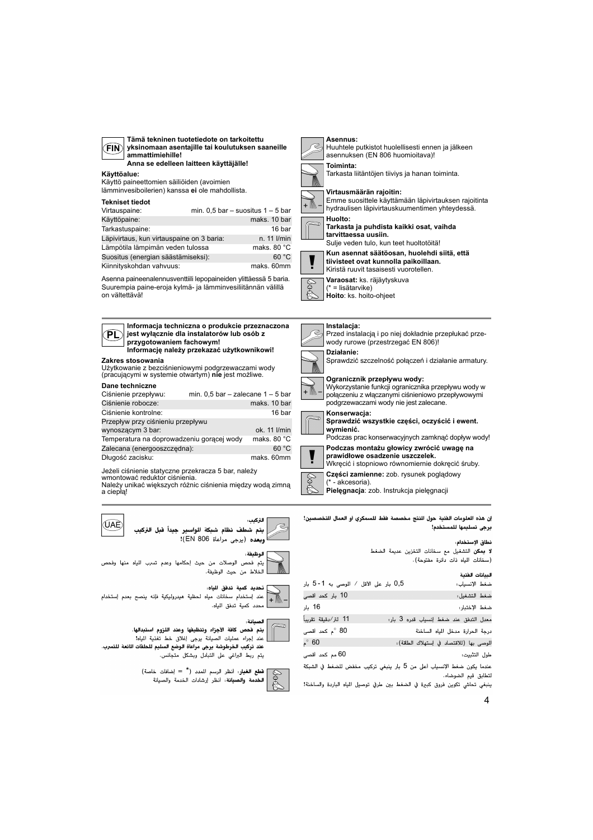| v |
|---|
|---|

**Tämä tekninen tuotetiedote on tarkoitettu yksinomaan asentajille tai koulutuksen saaneille ammattimiehille! Anna se edelleen laitteen käyttäjälle!**

#### **Käyttöalue:**

Käyttö paineettomien säiliöiden (avoimien lämminvesiboilerien) kanssa **ei** ole mahdollista.

#### **Tekniset tiedot**

| TERITJEL LIEUVL                           |                                       |
|-------------------------------------------|---------------------------------------|
| Virtauspaine:                             | min. $0.5$ bar - suositus $1 - 5$ bar |
| Käyttöpaine:                              | maks, 10 bar                          |
| Tarkastuspaine:                           | 16 bar                                |
| Läpivirtaus, kun virtauspaine on 3 baria: | n. 11 l/min                           |
| Lämpötila lämpimän veden tulossa          | maks, 80 °C                           |
| Suositus (energian säästämiseksi):        | 60 °C                                 |
| Kiinnityskohdan vahvuus:                  | maks. 60mm                            |

Asenna paineenalennusventtiili lepopaineiden ylittäessä 5 baria. Suurempia paine-eroja kylmä- ja lämminvesiliitännän välillä on vältettävä!

> **Informacja techniczna o produkcie przeznaczona jest wyłącznie dla instalatorów lub osób z**

#### **przygotowaniem fachowym! Informację należy przekazać użytkownikowi!**

#### **Zakres stosowania**

**PL**

(UAE)

Użytkowanie z bezciśnieniowymi podgrzewaczami wody (pracującymi w systemie otwartym) **nie** jest możliwe.

#### **Dane techniczne**

| Ciśnienie przepływu:                                   | min. $0.5$ bar - zalecane $1 - 5$ bar |                     |
|--------------------------------------------------------|---------------------------------------|---------------------|
| Ciśnienie robocze:                                     |                                       | maks, 10 bar        |
| Ciśnienie kontrolne:                                   |                                       | 16 bar              |
| Przepływ przy ciśnieniu przepływu<br>wynoszacym 3 bar: |                                       | ok. 11 <i>l/min</i> |
| Temperatura na doprowadzeniu gorącej wody              |                                       | maks, 80 °C         |
| Zalecana (energooszczedna):                            |                                       | 60 °C               |
| Długość zacisku:                                       |                                       | maks. 60mm          |

Jeżeli ciśnienie statyczne przekracza 5 bar, należy

wmontować reduktor ciśnienia. Należy unikać większych różnic ciśnienia między wodą zimną a ciepłą!

> التركيب، يتم شطف نظام شبكة الواسير جيداً قبل التركيب



Ř

يتم فحص الوصلات من حيث إحكامها وعدم تسرب المياه منها وفحص .<br>الخلاط من حيث الوظيفة.

#### تحديد كمية تدفق الياه.

عند استخدام سخانات مياه لحظية هيدروليكية فإنه ينصح بعدم إستخدام

| -251<br>. II |  |
|--------------|--|
|              |  |

#### يتم فحص كافة الأجزاء وتنظيفها وعند اللزوم استبدالها.

عند تركيب الخرطوشة يرجى مراعاة الوضع السليم للحلقات المانعة للتسرب. يتم ربط البراغي على التبادل وبشكل متجانس.



قطع الغيار: أنظر الرسم المدد (\* = إضافات خاصة) الخدمة والصيانة: أنظر إرشادات الخدمة والصيانة



# Huuhtele putkistot huolellisesti ennen ja jälkeen





### **Virtausmäärän rajoitin:**



Emme suosittele käyttämään läpivirtauksen rajoitinta hydraulisen läpivirtauskuumentimen yhteydessä.

#### **Huolto:**

- **Tarkasta ja puhdista kaikki osat, vaihda tarvittaessa uusiin.**
- Sulje veden tulo, kun teet huoltotöitä! **Kun asennat säätöosan, huolehdi siitä, että**



**tiivisteet ovat kunnolla paikoillaan.** Kiristä ruuvit tasaisesti vuorotellen.

- **Varaosat:** ks. räjäytyskuva
- (\* = lisätarvike)
- **Hoito**: ks. hoito-ohjeet

#### **Instalacja:**



**Pielęgnacja**: zob. Instrukcja pielęgnacji

إن هذه العلومات الفنية حول النتج مخصصة فقط للسمكري أو العمال التخصصين! يرجى تسليمها للمستخدم!

#### نطاق الإستخدام.

**لا يمكن** التشغيل مع سخانات التخزين عديمة الضغط (سخانات الياه ذات دائرة مفتوحة).

|                                       |                                         |                                  | لبيانات الفنية |  |
|---------------------------------------|-----------------------------------------|----------------------------------|----------------|--|
| 0,5 بار على الأقل / الموصى به 1-5 بار |                                         |                                  | ضغط الإنسياب:  |  |
| 10 بار کحد أقصى                       |                                         |                                  | ضغط التشغيل:   |  |
| 16 بار                                |                                         |                                  | ضغط الإختبار:  |  |
| .<br>11   لتر⁄دقيقة   تقريبا          | معدل التدفق عند ضغط إنسياب قدره 3 بار:  |                                  |                |  |
| 80 °م کحد أقص <i>ی</i>                |                                         | درجة الحرارة مدخل المياه الساخنة |                |  |
| $\degree$ 60                          | لموصى بها (للاقتصاد في إستهلاك الطاقة): |                                  |                |  |
| 60 مم کحد أقصی                        |                                         |                                  | طول التثبيت:   |  |

عندما يكون ضغط الإنسياب أعلى من 5 بار ينبغي تركيب مخفض للضغط في الشبكة ر<br>التطابق قيم الضوضاء.

.ب.<br>ينبغي تحاشي تكوين فروق كبيرة في الضغط بين طرفي توصيل المياه الباردة والساخنة!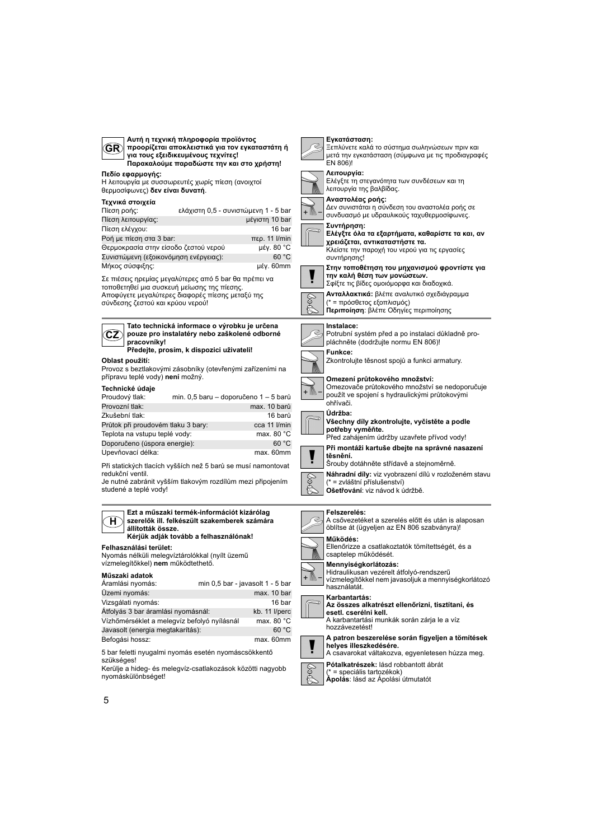| Αυτή η τεχνική πληροφορία προϊόντος<br>GR)<br>προορίζεται αποκλειστικά για τον εγκαταστάτη ή<br>για τους εξειδικευμένους τεχνίτες!<br>Παρακαλούμε παραδώστε την και στο χρήστη!                                                                                                                                                                                                                                                           | Εγκατάσταση:<br>Ξεπλύνετε καλά το σύστημα σωληνώσεων πριν και<br>μετά την εγκατάσταση (σύμφωνα με τις προδιαγραφές<br>EN 806)!                                                                                                                                                                                                                                                                                        |
|-------------------------------------------------------------------------------------------------------------------------------------------------------------------------------------------------------------------------------------------------------------------------------------------------------------------------------------------------------------------------------------------------------------------------------------------|-----------------------------------------------------------------------------------------------------------------------------------------------------------------------------------------------------------------------------------------------------------------------------------------------------------------------------------------------------------------------------------------------------------------------|
| Πεδίο εφαρμογής:<br>Η λειτουργία με συσσωρευτές χωρίς πίεση (ανοιχτοί<br>θερμοσίφωνες) δεν είναι δυνατή.                                                                                                                                                                                                                                                                                                                                  | Λειτουργία:<br>Ελέγξτε τη στεγανότητα των συνδέσεων και τη<br>λειτουργία της βαλβίδας.                                                                                                                                                                                                                                                                                                                                |
| Τεχνικά στοιχεία<br>Πίεση ροής:<br>ελάχιστη 0,5 - συνιστώμενη 1 - 5 bar<br>Πίεση λειτουργίας:<br>μέγιστη 10 bar<br>16 bar<br>Πίεση ελέγχου:<br>Ροή με πίεση στα 3 bar:<br>$περ. 11$ I/min<br>Θερμοκρασία στην είσοδο ζεστού νερού<br>μέγ. 80 °C<br>Συνιστώμενη (εξοικονόμηση ενέργειας):<br>60 °C<br>Μήκος σύσφιξης:<br>μέγ. 60mm<br>Σε πιέσεις ηρεμίας μεγαλύτερες από 5 bar θα πρέπει να<br>τοποθετηθεί μια συσκευή μείωσης της πίεσης. | Αναστολέας ροής:<br>Δεν συνιστάται η σύνδεση του αναστολέα ροής σε<br>συνδυασμό με υδραυλικούς ταχυθερμοσίφωνες.<br>Συντήρηση:<br>Ελέγξτε όλα τα εξαρτήματα, καθαρίστε τα και, αν<br>χρειάζεται, αντικαταστήστε τα.<br>Κλείστε την παροχή του νερού για τις εργασίες<br>συντήρησης!<br>Στην τοποθέτηση του μηχανισμού φροντίστε για<br>ļ<br>την καλή θέση των μονώσεων.<br>Σφίξτε τις βίδες ομοιόμορφα και διαδοχικά. |
| Αποφύγετε μεγαλύτερες διαφορές πίεσης μεταξύ της<br>σύνδεσης ζεστού και κρύου νερού!                                                                                                                                                                                                                                                                                                                                                      | Ανταλλακτικά: βλέπε αναλυτικό σχεδιάγραμμα<br>(* = πρόσθετος εξοπλισμός)<br>Περιποίηση: βλέπε Οδηγίες περιποίησης                                                                                                                                                                                                                                                                                                     |
| Tato technická informace o výrobku je určena<br>pouze pro instalatéry nebo zaškolené odborné<br>CZ)<br>pracovníky!<br>Předejte, prosím, k dispozici uživateli!                                                                                                                                                                                                                                                                            | Instalace:<br>Potrubní systém před a po instalaci důkladně pro-<br>pláchněte (dodržujte normu EN 806)!<br>Funkce:                                                                                                                                                                                                                                                                                                     |
| Oblast použití:<br>Provoz s beztlakovými zásobníky (otevřenými zařízeními na                                                                                                                                                                                                                                                                                                                                                              | Zkontrolujte těsnost spojů a funkci armatury.                                                                                                                                                                                                                                                                                                                                                                         |
| přípravu teplé vody) není možný.<br>Technické údaje<br>min. 0,5 baru - doporučeno 1 - 5 barů<br>Proudový tlak:<br>Provozní tlak:<br>max. 10 barů                                                                                                                                                                                                                                                                                          | Omezení průtokového množství:<br>Omezovače průtokového množství se nedoporučuje<br>použít ve spojení s hydraulickými průtokovými<br>ohřívači.                                                                                                                                                                                                                                                                         |
| 16 barů<br>Zkušební tlak:<br>Průtok při proudovém tlaku 3 bary:<br>cca 11 I/min<br>max. 80 $^{\circ}$ C<br>Teplota na vstupu teplé vody:<br>60 °C<br>Doporučeno (úspora energie):                                                                                                                                                                                                                                                         | Údržba:<br>Všechny díly zkontrolujte, vyčistěte a podle<br>potřeby vyměňte.<br>Před zahájením údržby uzavřete přívod vody!                                                                                                                                                                                                                                                                                            |
| Upevňovací délka:<br>max. 60mm<br>Při statických tlacích vyšších než 5 barů se musí namontovat                                                                                                                                                                                                                                                                                                                                            | Při montáži kartuše dbejte na správné nasazení<br>těsnění.<br>Srouby dotáhněte střídavě a stejnoměrně.                                                                                                                                                                                                                                                                                                                |
| redukční ventil.<br>Je nutné zabránit vyšším tlakovým rozdílům mezi připojením<br>studené a teplé vody!                                                                                                                                                                                                                                                                                                                                   | Náhradní díly: viz vyobrazení dílů v rozloženém stavu<br>(* = zvláštní příslušenství)<br>Ošetřování: viz návod k údržbě.                                                                                                                                                                                                                                                                                              |
| Ezt a műszaki termék-információt kizárólag<br>H <sub>1</sub><br>szerelők ill. felkészült szakemberek számára<br>állították össze.<br>Kérjük adják tovább a felhasználónak!                                                                                                                                                                                                                                                                | <b>Felszerelés:</b><br>A csővezetéket a szerelés előtt és után is alaposan<br>öblítse át (ügyeljen az EN 806 szabványra)!<br>Működés:                                                                                                                                                                                                                                                                                 |
| Felhasználási terület:<br>Nyomás nélküli melegvíztárolókkal (nyílt üzemű                                                                                                                                                                                                                                                                                                                                                                  | Ellenőrizze a csatlakoztatók tömítettségét, és a<br>csaptelep működését.                                                                                                                                                                                                                                                                                                                                              |
| vízmelegítőkkel) nem működtethető.<br>Műszaki adatok<br>Aramlási nyomás:<br>min 0,5 bar - javasolt 1 - 5 bar                                                                                                                                                                                                                                                                                                                              | Mennyiségkorlátozás:<br>Hidraulikusan vezérelt átfolyó-rendszerű<br>+ M<br>vízmelegítőkkel nem javasoljuk a mennyiségkorlátozó<br>használatát.                                                                                                                                                                                                                                                                        |
| Üzemi nyomás:<br>max. 10 bar<br>Vizsgálati nyomás:<br>16 bar<br>Átfolyás 3 bar áramlási nyomásnál:<br>kb. 11 l/perc<br>Vízhőmérséklet a melegvíz befolyó nyílásnál<br>max. 80 $^{\circ}$ C<br>Javasolt (energia megtakarítás):<br>60 °C                                                                                                                                                                                                   | Karbantartás:<br>Az összes alkatrészt ellenőrizni, tisztítani, és<br>esetl. cserélni kell.<br>A karbantartási munkák során zárja le a víz<br>hozzávezetést!                                                                                                                                                                                                                                                           |
| Befogási hossz:<br>max. 60mm<br>5 bar feletti nyugalmi nyomás esetén nyomáscsökkentő                                                                                                                                                                                                                                                                                                                                                      | A patron beszerelése során figyeljen a tömítések<br>helyes illeszkedésére.                                                                                                                                                                                                                                                                                                                                            |
| szükséges!<br>Kerülje a hideg- és melegvíz-csatlakozások közötti nagyobb<br>nyomáskülönbséget!                                                                                                                                                                                                                                                                                                                                            | A csavarokat váltakozva, egyenletesen húzza meg.<br>Pótalkatrészek: lásd robbantott ábrát<br>(* = speciális tartozékok)<br>Ápolás: lásd az Ápolási útmutatót                                                                                                                                                                                                                                                          |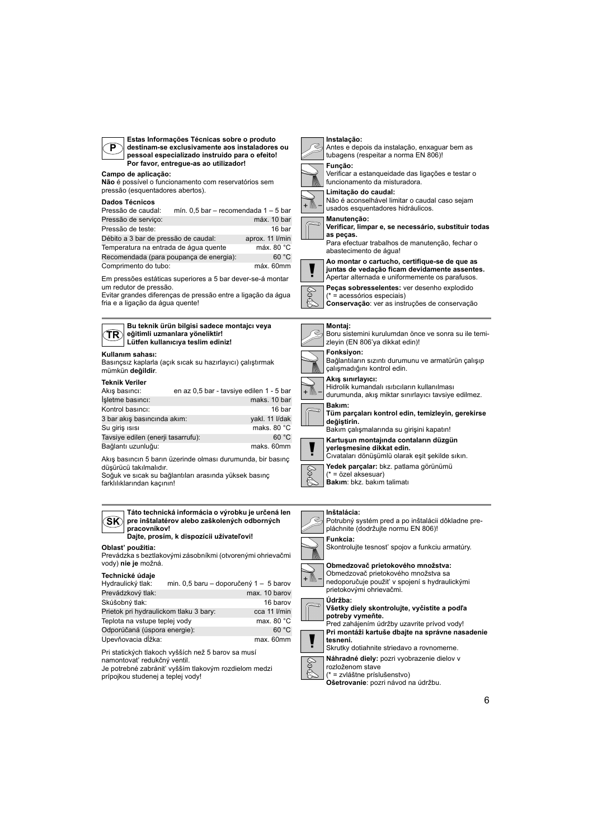

**Estas Informações Técnicas sobre o produto destinam-se exclusivamente aos instaladores ou pessoal especializado instruido para o efeito! Por favor, entregue-as ao utilizador!**

### **Campo de aplicação:**

**Não** é possível o funcionamento com reservatórios sem pressão (esquentadores abertos).

| <b>Dados Técnicos</b>                   |                                      |                 |
|-----------------------------------------|--------------------------------------|-----------------|
| Pressão de caudal:                      | mín. 0,5 bar - recomendada 1 - 5 bar |                 |
| Pressão de serviço:                     |                                      | máx. 10 bar     |
| Pressão de teste:                       |                                      | 16 bar          |
| Débito a 3 bar de pressão de caudal:    |                                      | aprox. 11 I/min |
| Temperatura na entrada de água quente   |                                      | máx. 80 °C      |
| Recomendada (para poupança de energia): |                                      | 60 °C           |
| Comprimento do tubo:                    |                                      | máx. 60mm       |

Em pressões estáticas superiores a 5 bar dever-se-á montar um redutor de pressão.

Evitar grandes diferenças de pressão entre a ligação da água fria e a ligação da água quente!

**TR Bu teknik ürün bilgisi sadece montajcı veya eğitimli uzmanlara yöneliktir! Lütfen kullanıcıya teslim ediniz!**

#### **Kullanım sahası:**

Basınçsız kaplarla (açık sıcak su hazırlayıcı) çalıştırmak mümkün **değildir**.

#### **Teknik Veriler**

| Akıs basıncı:                      | en az 0,5 bar - tavsiye edilen 1 - 5 bar |                       |
|------------------------------------|------------------------------------------|-----------------------|
| İşletme basıncı:                   |                                          | maks. 10 bar          |
| Kontrol basıncı:                   |                                          | 16 bar                |
| 3 bar akış basıncında akım:        |                                          | vakl. 11 I/dak        |
| Su giriş ısısı                     |                                          | maks. 80 $^{\circ}$ C |
| Tavsiye edilen (enerji tasarrufu): |                                          | 60 °C                 |
| Bağlantı uzunluğu:                 |                                          | maks. 60mm            |

Akış basıncın 5 barın üzerinde olması durumunda, bir basınç düşürücü takılmalıdır.

Soğuk ve sıcak su bağlantıları arasında yüksek basınç farklılıklarından kaçının!

| Táto technická informácia o výrobku je určená len<br>pre inštalatérov alebo zaškolených odborných<br>pracovníkov!<br>Dajte, prosím, k dispozícii užívateľovi! |  |                                        |  |
|---------------------------------------------------------------------------------------------------------------------------------------------------------------|--|----------------------------------------|--|
| Oblasť použitia:<br>Prevádzka s beztlakovými zásobníkmi (otvorenými ohrievačmi<br>vody) nie je možná.                                                         |  |                                        |  |
| Technické údaje                                                                                                                                               |  |                                        |  |
| Hydraulický tlak:                                                                                                                                             |  | min. 0,5 baru – doporučený 1 – 5 barov |  |
| Prevádzkový tlak:                                                                                                                                             |  | max. 10 barov                          |  |
| Skúšobný tlak:                                                                                                                                                |  | 16 barov                               |  |
| Prietok pri hydraulickom tlaku 3 bary:                                                                                                                        |  | cca 11 I/min                           |  |
| Toplata na vatura taplai vadu                                                                                                                                 |  | max.90°                                |  |

# ta na vstupe teplej vody max. 80 °C<br>rúčaná (úspora energie): 60 °C Odporúčaná (úspora energie): Upevňovacia dĺžka: max. 60mm

Pri statických tlakoch vyšších než 5 barov sa musí namontovat' redukčný ventil. Je potrebné zabránit' vyšším tlakovým rozdielom medzi prípojkou studenej a teplej vody!

#### **Instalação:** Antes e depois da instalação, enxaguar bem as tubagens (respeitar a norma EN 806)! **Função:** Verificar a estanqueidade das ligações e testar o



#### Não é aconselhável limitar o caudal caso sejam s esquentadores hidráulicos.

| MINT usados esquentadores hidráulicos. |
|----------------------------------------|
| ██████████████████████<br>████████████ |
| l as pecas.                            |

**as peças.** Para efectuar trabalhos de manutenção, fechar o abastecimento de água!



**Ao montar o cartucho, certifique-se de que as juntas de vedação ficam devidamente assentes.** Apertar alternada e uniformemente os parafusos.

**Peças sobresselentes:** ver desenho explodido (\* = acessórios especiais) **Conservação**: ver as instruções de conservação

#### **Montaj:**





**yerleşmesine dikkat edin.** Cıvataları dönüşümlü olarak eşit şekilde sıkın. **Yedek parçalar:** bkz. patlama görünümü



**Inštalácia:** Potrubný systém pred a po inštalácii dôkladne prepláchnite (dodržujte normu EN 806)! **Funkcia:** Skontrolujte tesnost' spojov a funkciu armatúry. **Obmedzovač prietokového množstva:** Obmedzovač prietokového množstva sa nedoporučuje použit' v spojení s hydraulickými prietokovými ohrievačmi. **Údržba: Všetky diely skontrolujte, vyčistite a podľa potreby vymeňte.** Pred zahájením údržby uzavrite prívod vody! **Pri montáži kartuše dbajte na správne nasadenie tesnení.** Skrutky dotiahnite striedavo a rovnomerne.

**Náhradné diely:** pozri vyobrazenie dielov v

rozloženom stave (\* = zvláštne príslušenstvo)

**Ošetrovanie**: pozri návod na údržbu.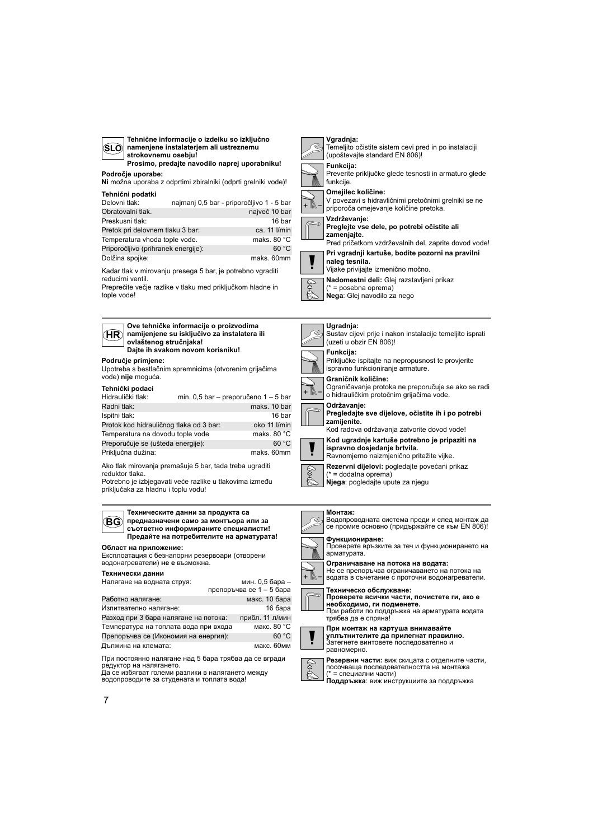| Tehnične informacije o izdelku so izključno<br>namenjene instalaterjem ali ustreznemu<br>(SLO<br>strokovnemu osebju!<br>Prosimo, predajte navodilo naprej uporabniku!                                                                                                                                                                                                                                                                                                                                  | Vgradnja:<br>Temeljito očistite sistem cevi pred in po instalaciji<br>(upoštevajte standard EN 806)!<br>Funkcija:                                                                                                                                                                                                                                                                                                                                                          |
|--------------------------------------------------------------------------------------------------------------------------------------------------------------------------------------------------------------------------------------------------------------------------------------------------------------------------------------------------------------------------------------------------------------------------------------------------------------------------------------------------------|----------------------------------------------------------------------------------------------------------------------------------------------------------------------------------------------------------------------------------------------------------------------------------------------------------------------------------------------------------------------------------------------------------------------------------------------------------------------------|
| Področje uporabe:<br>Ni možna uporaba z odprtimi zbiralniki (odprti grelniki vode)!                                                                                                                                                                                                                                                                                                                                                                                                                    | Preverite priključke glede tesnosti in armaturo glede<br>funkcije.                                                                                                                                                                                                                                                                                                                                                                                                         |
| Tehnični podatki<br>Delovni tlak:<br>najmanj 0,5 bar - priporočljivo 1 - 5 bar<br>Obratovalni tlak.<br>največ 10 bar<br>Preskusni tlak:<br>16 bar<br>Pretok pri delovnem tlaku 3 bar:<br>ca. 11 I/min<br>Temperatura vhoda tople vode.<br>maks. 80 °C<br>Priporočljivo (prihranek energije):<br>60 °C<br>maks. 60mm<br>Dolžina spojke:<br>Kadar tlak v mirovanju presega 5 bar, je potrebno vgraditi<br>reducirni ventil.<br>Preprečite večje razlike v tlaku med priključkom hladne in<br>tople vode! | Omejilec količine:<br>V povezavi s hidravličnimi pretočnimi grelniki se ne<br>priporoča omejevanje količine pretoka.<br>Vzdrževanje:<br>Preglejte vse dele, po potrebi očistite ali<br>zamenjajte.<br>Pred pričetkom vzdrževalnih del, zaprite dovod vode!<br>Pri vgradnji kartuše, bodite pozorni na pravilni<br>naleg tesnila.<br>Vijake privijajte izmenično močno.<br>Nadomestni deli: Glej razstavljeni prikaz<br>(* = posebna oprema)<br>Nega: Glej navodilo za nego |
| Ove tehničke informacije o proizvodima<br>(HR<br>namijenjene su isključivo za instalatera ili<br>ovlaštenog stručnjaka!<br>Dajte ih svakom novom korisniku!<br>Područje primjene:<br>Upotreba s bestlačnim spremnicima (otvorenim grijačima                                                                                                                                                                                                                                                            | Ugradnja:<br>Sustav cijevi prije i nakon instalacije temeljito isprati<br>(uzeti u obzir EN 806)!<br>Funkcija:<br>Priključke ispitajte na nepropusnost te provjerite<br>ispravno funkcioniranje armature.                                                                                                                                                                                                                                                                  |
| vode) nije moguća.<br>Tehnički podaci<br>Hidraulički tlak:<br>min. 0,5 bar - preporučeno 1 - 5 bar                                                                                                                                                                                                                                                                                                                                                                                                     | Graničnik količine:<br>Ograničavanje protoka ne preporučuje se ako se radi<br>$+$ MM<br>o hidrauličkim protočnim grijačima vode.                                                                                                                                                                                                                                                                                                                                           |
| Radni tlak:<br>maks. 10 bar<br>Ispitni tlak:<br>16 bar<br>Protok kod hidrauličnog tlaka od 3 bar:<br>oko 11 I/min                                                                                                                                                                                                                                                                                                                                                                                      | Održavanje:<br>Pregledajte sve dijelove, očistite ih i po potrebi<br>zamijenite.<br>Kod radova održavanja zatvorite dovod vode!                                                                                                                                                                                                                                                                                                                                            |
| Temperatura na dovodu tople vode<br>maks. 80 °C<br>60 °C<br>Preporučuje se (ušteda energije):<br>Priključna dužina:<br>maks, 60mm                                                                                                                                                                                                                                                                                                                                                                      | Kod ugradnje kartuše potrebno je pripaziti na<br>V<br>ispravno dosjedanje brtvila.<br>Ravnomjerno naizmjenično pritežite vijke.                                                                                                                                                                                                                                                                                                                                            |
| Ako tlak mirovanja premašuje 5 bar, tada treba ugraditi<br>reduktor tlaka.<br>Potrebno je izbjegavati veće razlike u tlakovima između<br>priključaka za hladnu i toplu vodu!                                                                                                                                                                                                                                                                                                                           | Rezervni dijelovi: pogledajte povećani prikaz<br>E<br>(* = dodatna oprema)<br>Njega: pogledajte upute za njegu                                                                                                                                                                                                                                                                                                                                                             |
| Техническите данни за продукта са<br>(BG)<br>предназначени само за монтъора или за<br>съответно информираните специалисти!<br>Предайте на потребителите на арматурата!                                                                                                                                                                                                                                                                                                                                 | Монтаж:<br>Водопроводната система преди и след монтаж да<br>се промие основно (придържайте се към EN 806)!<br>Функциониране:                                                                                                                                                                                                                                                                                                                                               |
| Област на приложение:<br>Експлоатация с безнапорни резервоари (отворени<br>водонагреватели) <b>не е</b> възможна.                                                                                                                                                                                                                                                                                                                                                                                      | Проверете връзките за теч и функционирането на<br>арматурата.<br>Ограничаване на потока на водата:                                                                                                                                                                                                                                                                                                                                                                         |
| Технически данни<br>Налягане на водната струя:<br>мин. 0,5 бара -<br>препоръчва се 1 - 5 бара                                                                                                                                                                                                                                                                                                                                                                                                          | Не се препоръчва ограничаването на потока на<br>водата в съчетание с проточни водонагреватели.                                                                                                                                                                                                                                                                                                                                                                             |
| Работно налягане:<br>макс. 10 бара<br>16 бара<br>Изпитвателно налягане:<br>Разход при 3 бара налягане на потока:<br>прибл. 11 л/мин                                                                                                                                                                                                                                                                                                                                                                    | Техническо обслужване:<br>Проверете всички части, почистете ги, ако е<br>необходимо, ги подменете.<br>При работи по поддръжка на арматурата водата<br>трябва да е спряна!                                                                                                                                                                                                                                                                                                  |
| макс. 80 °С<br>Температура на топлата вода при входа<br>60 °C<br>Препоръчва се (Икономия на енергия):<br>Дължина на клемата:<br>макс. 60мм                                                                                                                                                                                                                                                                                                                                                             | При монтаж на картуша внимавайте<br>уплътнителите да прилегнат правилно.<br>Затегнете винтовете последователно и<br>равномерно.                                                                                                                                                                                                                                                                                                                                            |
| При постоянно налягане над 5 бара трябва да се вгради<br>редуктор на налягането.<br>Да се избягват големи разлики в налягането между<br>водопроводите за студената и топлата вода!                                                                                                                                                                                                                                                                                                                     | Резервни части: виж скицата с отделните части,<br>посочваща последователността на монтажа<br>(* = специални части)<br>Поддръжка: виж инструкциите за поддръжка                                                                                                                                                                                                                                                                                                             |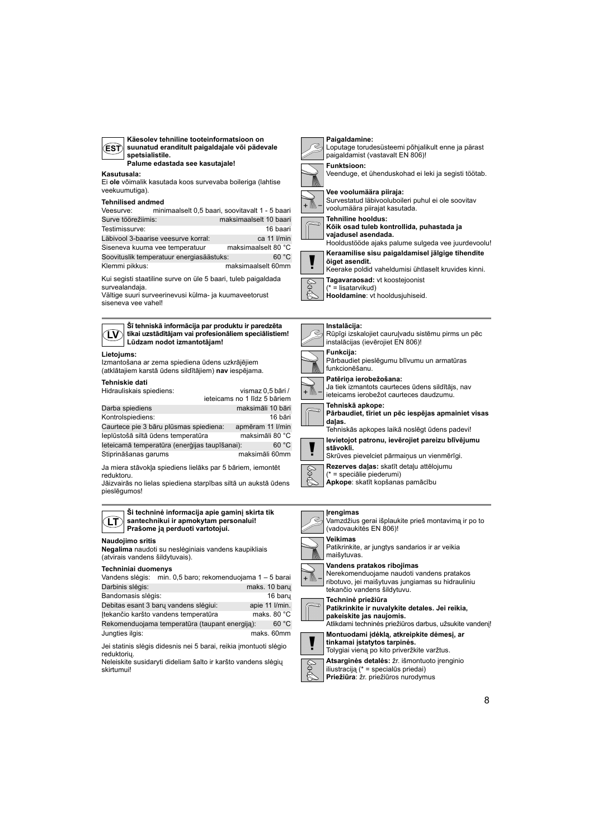| Käesolev tehniline tooteinformatsioon on<br>suunatud eranditult paigaldajale või pädevale<br>EST)<br>spetsialistile.<br>Palume edastada see kasutajale!<br>Kasutusala:<br>Ei ole võimalik kasutada koos survevaba boileriga (lahtise<br>veekuumutiga).<br><b>Tehnilised andmed</b><br>Veesurve:<br>minimaalselt 0,5 baari, soovitavalt 1 - 5 baari<br>Surve töörežiimis:<br>maksimaalselt 10 baari<br>Testimissurve:<br>16 baari<br>Läbivool 3-baarise veesurve korral:<br>ca 11 I/min<br>maksimaalselt 80 °C<br>Siseneva kuuma vee temperatuur<br>60 °C<br>Soovituslik temperatuur energiasäästuks:<br>Klemmi pikkus:<br>maksimaalselt 60mm<br>Kui segisti staatiline surve on üle 5 baari, tuleb paigaldada<br>survealandaja. | Paigaldamine:<br>Loputage torudesüsteemi põhjalikult enne ja pärast<br>paigaldamist (vastavalt EN 806)!<br><b>Funktsioon:</b><br>Veenduge, et ühenduskohad ei leki ja segisti töötab.<br>Vee voolumäära piiraja:<br>Survestatud läbivooluboileri puhul ei ole soovitav<br>$+ \mathbb{M}$ .<br>voolumäära piirajat kasutada.<br>Tehniline hooldus:<br>Kõik osad tuleb kontrollida, puhastada ja<br>vajadusel asendada.<br>Hooldustööde ajaks palume sulgeda vee juurdevoolu!<br>Keraamilise sisu paigaldamisel jälgige tihendite<br>õiget asendit.<br>Keerake poldid vaheldumisi ühtlaselt kruvides kinni.<br>Tagavaraosad: vt koostejoonist<br>$(* =$ lisatarvikud) |
|---------------------------------------------------------------------------------------------------------------------------------------------------------------------------------------------------------------------------------------------------------------------------------------------------------------------------------------------------------------------------------------------------------------------------------------------------------------------------------------------------------------------------------------------------------------------------------------------------------------------------------------------------------------------------------------------------------------------------------|---------------------------------------------------------------------------------------------------------------------------------------------------------------------------------------------------------------------------------------------------------------------------------------------------------------------------------------------------------------------------------------------------------------------------------------------------------------------------------------------------------------------------------------------------------------------------------------------------------------------------------------------------------------------|
| Vältige suuri surveerinevusi külma- ja kuumaveetorust<br>siseneva vee vahel!                                                                                                                                                                                                                                                                                                                                                                                                                                                                                                                                                                                                                                                    | Hooldamine: vt hooldusjuhiseid.                                                                                                                                                                                                                                                                                                                                                                                                                                                                                                                                                                                                                                     |
|                                                                                                                                                                                                                                                                                                                                                                                                                                                                                                                                                                                                                                                                                                                                 |                                                                                                                                                                                                                                                                                                                                                                                                                                                                                                                                                                                                                                                                     |
| Ŝī tehniskā informācija par produktu ir paredzēta<br>tikai uzstādītājam vai profesionāliem speciālistiem!<br>LV<br>Lūdzam nodot izmantotājam!                                                                                                                                                                                                                                                                                                                                                                                                                                                                                                                                                                                   | Instalăcija:<br>Rūpīgi izskalojiet cauruļvadu sistēmu pirms un pēc<br>instalācijas (ievērojiet EN 806)!                                                                                                                                                                                                                                                                                                                                                                                                                                                                                                                                                             |
| Lietojums:<br>Izmantošana ar zema spiediena ūdens uzkrājējiem<br>(atklātajiem karstā ūdens sildītājiem) nav iespējama.                                                                                                                                                                                                                                                                                                                                                                                                                                                                                                                                                                                                          | Funkcija:<br>Pārbaudiet pieslēgumu blīvumu un armatūras<br>funkcionēšanu.                                                                                                                                                                                                                                                                                                                                                                                                                                                                                                                                                                                           |
| Tehniskie dati<br>Hidrauliskais spiediens:<br>vismaz 0,5 bāri /<br>ieteicams no 1 līdz 5 bāriem                                                                                                                                                                                                                                                                                                                                                                                                                                                                                                                                                                                                                                 | Patēriņa ierobežošana:<br>Ja tiek izmantots caurteces ūdens sildītājs, nav<br>ieteicams ierobežot caurteces daudzumu.                                                                                                                                                                                                                                                                                                                                                                                                                                                                                                                                               |
| Darba spiediens<br>maksimāli 10 bāri<br>Kontrolspiediens:<br>16 bāri<br>Caurtece pie 3 bāru plūsmas spiediena:<br>apmēram 11 I/min                                                                                                                                                                                                                                                                                                                                                                                                                                                                                                                                                                                              | Tehniskā apkope:<br>Pārbaudiet, tīriet un pēc iespējas apmainiet visas<br>dalas.<br>Tehniskās apkopes laikā noslēgt ūdens padevi!                                                                                                                                                                                                                                                                                                                                                                                                                                                                                                                                   |
| leplūstošā siltā ūdens temperatūra<br>maksimāli 80 °C<br>60 °C<br>leteicamā temperatūra (enerģijas taupīšanai):<br>Stiprināšanas garums<br>maksimāli 60mm                                                                                                                                                                                                                                                                                                                                                                                                                                                                                                                                                                       | levietojot patronu, ievērojiet pareizu blīvējumu<br>stävokli.<br>Skrūves pievelciet pārmaiņus un vienmērīgi.                                                                                                                                                                                                                                                                                                                                                                                                                                                                                                                                                        |
| Ja miera stāvokļa spiediens lielāks par 5 bāriem, iemontēt<br>reduktoru.<br>Jāizvairās no lielas spiediena starpības siltā un aukstā ūdens<br>pieslēgumos!                                                                                                                                                                                                                                                                                                                                                                                                                                                                                                                                                                      | Rezerves daļas: skatīt detaļu attēlojumu<br>Ş<br>$(* = specific piederumi)$<br>Apkope: skatīt kopšanas pamācību                                                                                                                                                                                                                                                                                                                                                                                                                                                                                                                                                     |
|                                                                                                                                                                                                                                                                                                                                                                                                                                                                                                                                                                                                                                                                                                                                 |                                                                                                                                                                                                                                                                                                                                                                                                                                                                                                                                                                                                                                                                     |
| Ši techninė informacija apie gaminį skirta tik<br>santechnikui ir apmokytam personalui!<br>LT<br>Prašome ją perduoti vartotojui.                                                                                                                                                                                                                                                                                                                                                                                                                                                                                                                                                                                                | <b>Irengimas</b><br>Vamzdžius gerai išplaukite prieš montavimą ir po to<br>(vadovaukitės EN 806)!                                                                                                                                                                                                                                                                                                                                                                                                                                                                                                                                                                   |
| <b>Naudoiimo sritis</b><br>Negalima naudoti su neslėginiais vandens kaupikliais<br>(atvirais vandens šildytuvais).                                                                                                                                                                                                                                                                                                                                                                                                                                                                                                                                                                                                              | <b>Veikimas</b><br>Patikrinkite, ar jungtys sandarios ir ar veikia<br>maišytuvas.                                                                                                                                                                                                                                                                                                                                                                                                                                                                                                                                                                                   |
| Techniniai duomenys<br>Vandens slėgis:<br>min. 0,5 baro; rekomenduojama 1 – 5 barai<br>Darbinis slėgis:<br>maks. 10 bary                                                                                                                                                                                                                                                                                                                                                                                                                                                                                                                                                                                                        | Vandens pratakos ribojimas<br>Nerekomenduojame naudoti vandens pratakos<br>$+$ M $-$<br>ribotuvo, jei maišytuvas jungiamas su hidrauliniu<br>tekančio vandens šildytuvu.                                                                                                                                                                                                                                                                                                                                                                                                                                                                                            |
| Bandomasis slėgis:<br>16 bary<br>Debitas esant 3 bary vandens slėgiui:<br>apie 11 I/min.<br>Itekančio karšto vandens temperatūra<br>maks. 80 $^{\circ}$ C<br>Rekomenduojama temperatūra (taupant energija):<br>60 °C                                                                                                                                                                                                                                                                                                                                                                                                                                                                                                            | Techninė priežiūra<br>Patikrinkite ir nuvalykite detales. Jei reikia,<br>pakeiskite jas naujomis.<br>Atlikdami techninės priežiūros darbus, užsukite vandenį!                                                                                                                                                                                                                                                                                                                                                                                                                                                                                                       |
| Jungties ilgis:<br>maks. 60mm                                                                                                                                                                                                                                                                                                                                                                                                                                                                                                                                                                                                                                                                                                   | Montuodami idėklą, atkreipkite dėmesį, ar                                                                                                                                                                                                                                                                                                                                                                                                                                                                                                                                                                                                                           |
| Jei statinis slėgis didesnis nei 5 barai, reikia įmontuoti slėgio<br>reduktoriu.                                                                                                                                                                                                                                                                                                                                                                                                                                                                                                                                                                                                                                                | tinkamai įstatytos tarpinės.<br>Tolygiai vieną po kito priveržkite varžtus.                                                                                                                                                                                                                                                                                                                                                                                                                                                                                                                                                                                         |

**Bol** 

Neleiskite susidaryti dideliam šalto ir karšto vandens slėgių skirtumui!

8

**Atsarginės detalės:** žr. išmontuoto įrenginio iliustraciją (\* = specialūs priedai) **Priežiūra**: žr. priežiūros nurodymus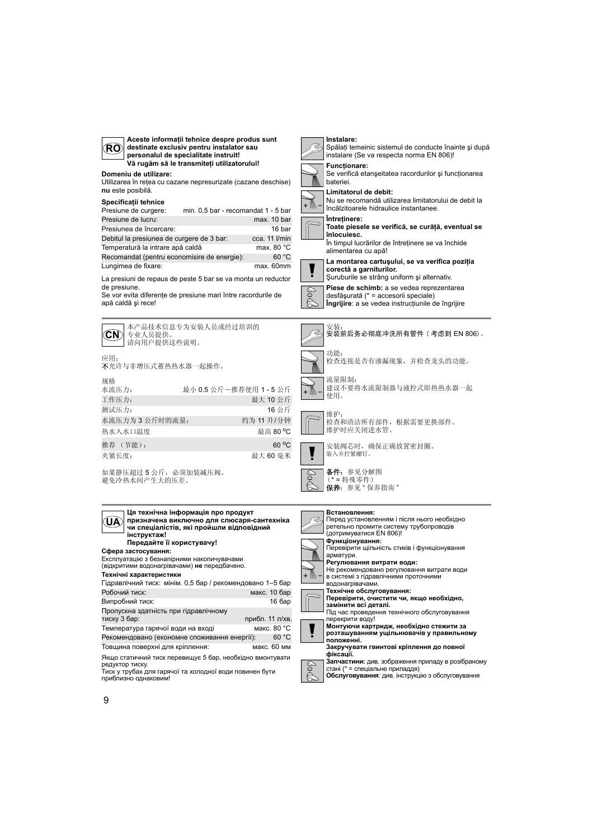| Aceste informații tehnice despre produs sunt<br>destinate exclusiv pentru instalator sau<br>RO.<br>personalul de specialitate instruit!<br>Vă rugăm să le transmiteți utilizatorului!<br>Domeniu de utilizare:<br>Utilizarea în rețea cu cazane nepresurizate (cazane deschise)<br>nu este posibilă.<br>Specificații tehnice<br>Presiune de curgere:<br>min. 0,5 bar - recomandat 1 - 5 bar<br>Presiune de lucru:<br>max. 10 bar<br>Presiunea de încercare:<br>16 bar<br>Debitul la presiunea de curgere de 3 bar:<br>$cca. 11$ $l/min$<br>Temperatură la intrare apă caldă<br>max. 80 °C<br>Recomandat (pentru economisire de energie):<br>60 °C<br>Lungimea de fixare:<br>max. 60mm<br>La presiuni de repaus de peste 5 bar se va monta un reductor<br>de presiune.<br>Se vor evita diferențe de presiune mari între racordurile de | Instalare:<br>Spălați temeinic sistemul de conducte înainte și după<br>instalare (Se va respecta norma EN 806)!<br><b>Functionare:</b><br>Se verifică etanșeitatea racordurilor și funcționarea<br>bateriei.<br>Limitatorul de debit:<br>Nu se recomandă utilizarea limitatorului de debit la<br>$\ddot{}$<br>încălzitoarele hidraulice instantanee.<br>Întretinere:<br>Toate piesele se verifică, se curăță, eventual se<br>înlocuiesc.<br>În timpul lucrărilor de întretinere se va închide<br>alimentarea cu apă!<br>La montarea cartuşului, se va verifica poziția<br>corectă a garniturilor.<br>Suruburile se strâng uniform și alternativ.<br>Piese de schimb: a se vedea reprezentarea<br>desfășurată (* = accesorii speciale) |
|---------------------------------------------------------------------------------------------------------------------------------------------------------------------------------------------------------------------------------------------------------------------------------------------------------------------------------------------------------------------------------------------------------------------------------------------------------------------------------------------------------------------------------------------------------------------------------------------------------------------------------------------------------------------------------------------------------------------------------------------------------------------------------------------------------------------------------------|---------------------------------------------------------------------------------------------------------------------------------------------------------------------------------------------------------------------------------------------------------------------------------------------------------------------------------------------------------------------------------------------------------------------------------------------------------------------------------------------------------------------------------------------------------------------------------------------------------------------------------------------------------------------------------------------------------------------------------------|
| apă caldă și rece!                                                                                                                                                                                                                                                                                                                                                                                                                                                                                                                                                                                                                                                                                                                                                                                                                    | Îngrijire: a se vedea instrucțiunile de îngrijire                                                                                                                                                                                                                                                                                                                                                                                                                                                                                                                                                                                                                                                                                     |
| 本产品技术信息专为安装人员或经过培训的<br>ĈN<br>专业人员提供。<br>请向用户提供这些说明。<br>应用:<br>不允许与非增压式蓄热热水器一起操作。<br>规格<br>最小 0.5 公斤一推荐使用 1 - 5 公斤<br>水流压力:<br>最大 10公斤<br>工作压力:<br>测试压力:<br>16公斤<br>水流压力为3公斤时的流量:<br>约为 11 升/分钟<br>最高 80 °C<br>热水入水口温度<br>$60^{\circ}$ C<br>推荐 (节能):<br>最大60毫米<br>夹紧长度:<br>如果静压超过 5 公斤,必须加装减压阀。<br>避免冷热水间产生大的压差。                                                                                                                                                                                                                                                                                                                                                                                                                                                                                                                       | 安装前后务必彻底冲洗所有管件 (考虑到 EN 806)。<br>功能:<br>检查连接是否有渗漏现象,并检查龙头的功能。<br>流量限制:<br>建议不要将水流限制器与液控式即热热水器一起<br>+ ///<br>使用。<br>维护:<br>检查和清洁所有部件, 根据需要更换部件。<br>维护时应关闭讲水管。<br>安装阀芯时, 确保正确放置密封圈。<br>装入并拧紧螺钉。<br>备件:参见分解图<br>S<br>(*=特殊零件)<br><b>保养:</b> 参见"保养指南"                                                                                                                                                                                                                                                                                                                                                                                                                                                                                      |
| Ця технічна інформація про продукт<br>призначена виключно для слюсаря-сантехніка<br>UA)<br>чи спеціалістів, які пройшли відповідний<br>інструктаж!<br>Передайте її користувачу!<br>Сфера застосування:<br>Експлуатацію з безнапірними накопичувачами<br>(відкритими водонагрівачами) не передбачено.<br>Технічні характеристики<br>Гідравлічний тиск: мінім. 0,5 бар / рекомендовано 1-5 бар<br>Робочий тиск:<br>макс. 10 бар<br>Випробний тиск:<br>16 бар<br>Пропускна здатність при гідравлічному<br>тиску 3 бар:<br>прибл. 11 л/хв.<br>макс. 80 °С<br>Температура гарячої води на вході<br>60 °C<br>Рекомендовано (економне споживання енергії):                                                                                                                                                                                   | Встановлення:<br>Перед установленням і після нього необхідно<br>ретельно промити систему трубопроводів<br>(дотримуватися EN 806)!<br>Функціонування:<br>Перевірити щільність стиків і функціонування<br>арматури.<br>Регулювання витрати води:<br>Не рекомендовано регулювання витрати води<br>+ ///<br>в системі з гідравлічними проточними<br>водонагрівачами.<br>Технічне обслуговування:<br>Перевірити, очистити чи, якщо необхідно,<br>замінити всі деталі.<br>Під час проведення технічного обслуговування<br>перекрити воду!<br>Монтуючи картридж, необхідно стежити за<br>розташуванням ущільнювачів у правильному<br><b>0001601</b>                                                                                          |

**Boo** 

Товщина поверхні для кріплення: макс. 60 мм

Якщо статичний тиск перевищує 5 бар, необхідно вмонтувати<br>редуктор тиску.<br>Тиск у трубах для гарячої та холодної води повинен бути<br>приблизно однаковим!

розташуванням ущільнювачів у правильному<br>положенні.<br>Закручувати гвинтові кріплення до повної<br>Фіксації.<br>стані (\* = спеціальне приладдя)<br>слбслуговування: див. інструкцію з обслуговування<br>Обслуговування: див. інструкцію з об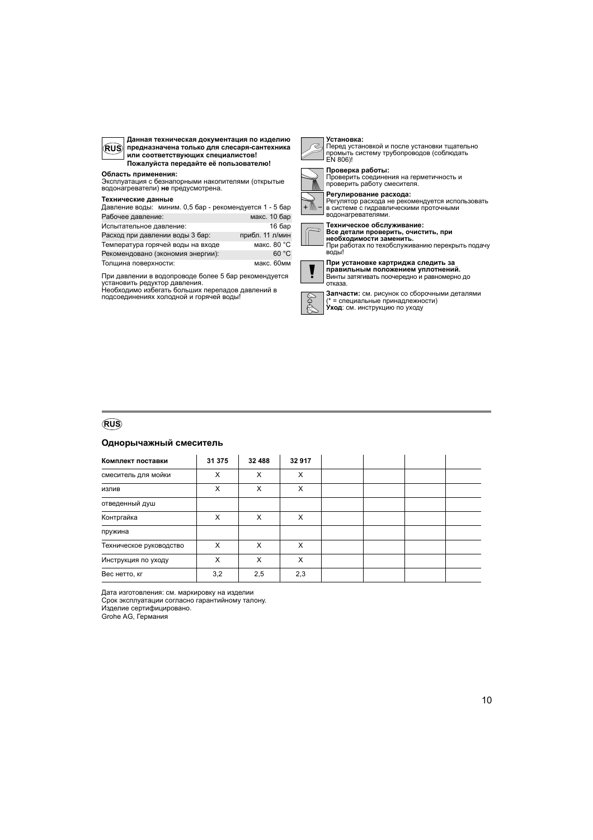

**Данная техническая документация по изделию предназначена только для слесаря-сантехника или соответствующих специалистов! Пожалуйста передайте её пользователю!**

**Область применения:**

Эксплуатация с безнапорными накопителями (открытые водонагреватели) **не** предусмотрена.

#### **Технические данные**

| Давление воды: миним. 0,5 бар - рекомендуется 1 - 5 бар |                 |
|---------------------------------------------------------|-----------------|
| Рабочее давление:                                       | макс. 10 бар    |
| Испытательное давление:                                 | 16 бар          |
| Расход при давлении воды 3 бар:                         | прибл. 11 л/мин |
| Температура горячей воды на входе                       | макс. 80 °С     |
| Рекомендовано (экономия энергии):                       | 60 °C           |
| Толщина поверхности:                                    | макс. 60мм      |

При давлении в водопроводе более 5 бар рекомендуется<br>установить редуктор давления.<br>Необходимо избегать больших перепадов давлений в<br>подсоединениях холодной и горячей воды!

# **Установка:**<br>Перед установкой и после установки тщательно<br>промыть систему трубопроводов (соблюдать<br>EN 806)! Ř



# **Проверка работы:** Проверить соединения на герметичность и

проверить работу смесителя.

**<b>Регулирование расхода:**<br>Регулятор расхода не рекомендуется использовать<br>в системе с гидравлическими проточными водонагревателями.



**Soli** 

+ M

**Техническое обслуживание: Все детали проверить, очистить, при необходимости заменить.** При работах по техобслуживанию перекрыть подачу воды!

**При установке картриджа следить за правильным положением уплотнений.** Винты затягивать поочередно и равномерно до  $\overline{\mathbf{v}}$ отказа.

**Запчасти:** см. рисунок со сборочными деталями (\* = специальные принадлежности) **Уход**: см. инструкцию по уходу

# **RUS**

### **Однорычажный смеситель**

| Комплект поставки       | 31 375 | 32 488 | 32917 |  |  |
|-------------------------|--------|--------|-------|--|--|
| смеситель для мойки     | X      | X      | X     |  |  |
| излив                   | X      | X      | X     |  |  |
| отведенный душ          |        |        |       |  |  |
| Контргайка              | X      | X      | X     |  |  |
| пружина                 |        |        |       |  |  |
| Техническое руководство | X      | X      | X     |  |  |
| Инструкция по уходу     | X      | X      | X     |  |  |
| Вес нетто, кг           | 3,2    | 2,5    | 2,3   |  |  |

Дата изготовления: см. маркировку на изделии

Срок эксплуатации согласно гарантийному талону.

Изделие сертифицировано.

Grohe AG, Германия